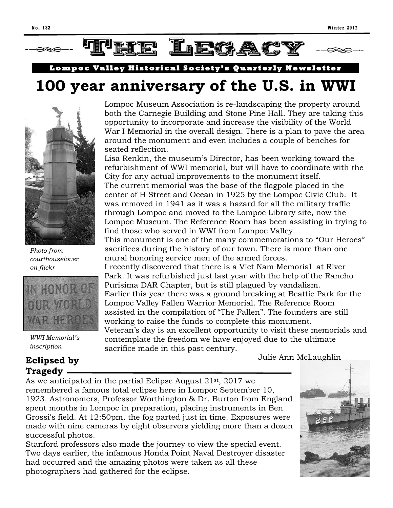

Lompoc Valley Historical Society's Quarterly Newsletter

# **100 year anniversary of the U.S. in WWI**



*Photo from courthouselover on flickr* 



*WWI Memorial's inscription*

### **Eclipsed by Tragedy**

Lompoc Museum Association is re-landscaping the property around both the Carnegie Building and Stone Pine Hall. They are taking this opportunity to incorporate and increase the visibility of the World War I Memorial in the overall design. There is a plan to pave the area around the monument and even includes a couple of benches for seated reflection.

Lisa Renkin, the museum's Director, has been working toward the refurbishment of WWI memorial, but will have to coordinate with the City for any actual improvements to the monument itself. The current memorial was the base of the flagpole placed in the center of H Street and Ocean in 1925 by the Lompoc Civic Club. It was removed in 1941 as it was a hazard for all the military traffic through Lompoc and moved to the Lompoc Library site, now the Lompoc Museum. The Reference Room has been assisting in trying to find those who served in WWI from Lompoc Valley.

This monument is one of the many commemorations to "Our Heroes" sacrifices during the history of our town. There is more than one mural honoring service men of the armed forces.

I recently discovered that there is a Viet Nam Memorial at River Park. It was refurbished just last year with the help of the Rancho Purisima DAR Chapter, but is still plagued by vandalism. Earlier this year there was a ground breaking at Beattie Park for the Lompoc Valley Fallen Warrior Memorial. The Reference Room assisted in the compilation of "The Fallen". The founders are still working to raise the funds to complete this monument. Veteran's day is an excellent opportunity to visit these memorials and

contemplate the freedom we have enjoyed due to the ultimate

Julie Ann McLaughlin

As we anticipated in the partial Eclipse August 21st, 2017 we remembered a famous total eclipse here in Lompoc September 10, 1923. Astronomers, Professor Worthington & Dr. Burton from England spent months in Lompoc in preparation, placing instruments in Ben Grossi's field. At 12:50pm, the fog parted just in time. Exposures were made with nine cameras by eight observers yielding more than a dozen successful photos.

sacrifice made in this past century.

Stanford professors also made the journey to view the special event. Two days earlier, the infamous Honda Point Naval Destroyer disaster had occurred and the amazing photos were taken as all these photographers had gathered for the eclipse.

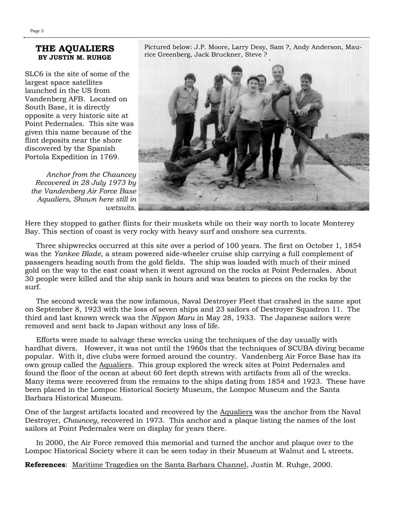#### **THE AQUALIERS BY JUSTIN M. RUHGE**

SLC6 is the site of some of the largest space satellites launched in the US from Vandenberg AFB. Located on South Base, it is directly opposite a very historic site at Point Pedernales. This site was given this name because of the flint deposits near the shore discovered by the Spanish Portola Expedition in 1769.

*Anchor from the Chauncey Recovered in 28 July 1973 by the Vandenberg Air Force Base Aqualiers, Shown here still in wetsuits.* Pictured below: J.P. Moore, Larry Desy, Sam ?, Andy Anderson, Maurice Greenberg, Jack Bruckner, Steve ?



Here they stopped to gather flints for their muskets while on their way north to locate Monterey Bay. This section of coast is very rocky with heavy surf and onshore sea currents.

 Three shipwrecks occurred at this site over a period of 100 years. The first on October 1, 1854 was the *Yankee Blade*, a steam powered side-wheeler cruise ship carrying a full complement of passengers heading south from the gold fields. The ship was loaded with much of their mined gold on the way to the east coast when it went aground on the rocks at Point Pedernales. About 30 people were killed and the ship sank in hours and was beaten to pieces on the rocks by the surf.

 The second wreck was the now infamous, Naval Destroyer Fleet that crashed in the same spot on September 8, 1923 with the loss of seven ships and 23 sailors of Destroyer Squadron 11. The third and last known wreck was the *Nippon Maru* in May 28, 1933. The Japanese sailors were removed and sent back to Japan without any loss of life.

 Efforts were made to salvage these wrecks using the techniques of the day usually with hardhat divers. However, it was not until the 1960s that the techniques of SCUBA diving became popular. With it, dive clubs were formed around the country. Vandenberg Air Force Base has its own group called the Aqualiers. This group explored the wreck sites at Point Pedernales and found the floor of the ocean at about 60 feet depth strewn with artifacts from all of the wrecks. Many items were recovered from the remains to the ships dating from 1854 and 1923. These have been placed in the Lompoc Historical Society Museum, the Lompoc Museum and the Santa Barbara Historical Museum.

One of the largest artifacts located and recovered by the Aqualiers was the anchor from the Naval Destroyer, *Chauncey,* recovered in 1973. This anchor and a plaque listing the names of the lost sailors at Point Pedernales were on display for years there.

 In 2000, the Air Force removed this memorial and turned the anchor and plaque over to the Lompoc Historical Society where it can be seen today in their Museum at Walnut and L streets.

**References**: Maritime Tragedies on the Santa Barbara Channel, Justin M. Ruhge, 2000.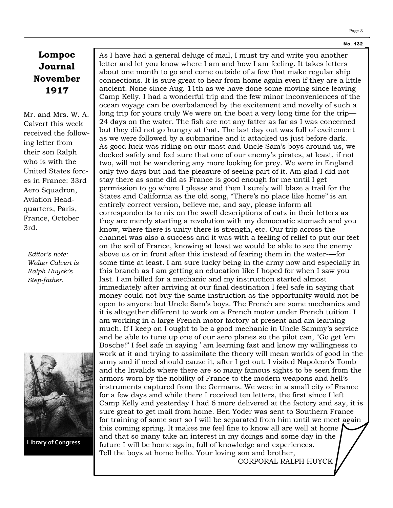#### **N o. 132**

## **Lompoc Journal November 1917**

Mr. and Mrs. W. A. Calvert this week received the following letter from their son Ralph who is with the United States forces in France: 33rd Aero Squadron, Aviation Headquarters, Paris, France, October 3rd.

*Editor's note: Walter Calvert is Ralph Huyck's Step-father.*



**Library of Congress**

As I have had a general deluge of mail, I must try and write you another letter and let you know where I am and how I am feeling. It takes letters about one month to go and come outside of a few that make regular ship [connections. It](http://connections.lt/) is sure great to hear from home again even if they are a little ancient. None since Aug. 11th as we have done some moving since leaving Camp Kelly. I had a wonderful trip and the few minor inconveniences of the ocean voyage can be overbalanced by the excitement and novelty of such a long trip for yours truly We were on the boat a very long time for the trip— 24 days on the water. The fish are not any fatter as far as I was concerned but they did not go hungry at that. The last day out was full of excitement as we were followed by a submarine and it attacked us just before dark. As good luck was riding on our mast and Uncle Sam's boys around us, we docked safely and feel sure that one of our enemy's pirates, at least, if not two, will not be wandering any more looking for prey. We were in England only two days but had the pleasure of seeing part of it. Am glad I did not stay there as some did as France is good enough for me until I get permission to go where I please and then I surely will blaze a trail for the States and California as the old song, "There's no place like home" is an entirely correct version, believe me, and say, please inform all correspondents to nix on the swell descriptions of eats in their letters as they are merely starting a revolution with my democratic stomach and you know, where there is unity there is strength, etc. Our trip across the channel was also a success and it was with a feeling of relief to put our feet on the soil of France, knowing at least we would be able to see the enemy above us or in front after this instead of fearing them in the water-—for some time at least. I am sure lucky being in the army now and especially in this branch as I am getting an education like I hoped for when I saw you last. I am billed for a mechanic and my instruction started almost immediately after arriving at our final destination I feel safe in saying that money could not buy the same instruction as the opportunity would not be open to anyone but Uncle Sam's boys. The French are some mechanics and it is altogether different to work on a French motor under French tuition. I am working in a large French motor factory at present and am learning much. If I keep on I ought to be a good mechanic in Uncle Sammy's service and be able to tune up one of our aero planes so the pilot can, "Go get 'em Bosche!" I feel safe in saying ' am learning fast and know my willingness to work at it and trying to assimilate the theory will mean worlds of good in the army and if need should cause it, after I get out. I visited Napoleon's Tomb and the Invalids where there are so many famous sights to be seen from the armors worn by the nobility of France to the modern weapons and hell's instruments captured from the Germans. We were in a small city of France for a few days and while there I received ten letters, the first since I left Camp Kelly and yesterday I had 6 more delivered at the factory and say, it is sure great to get mail from home. Ben Yoder was sent to Southern France for training of some sort so I will be separated from him until we meet again this coming spring. It makes me feel fine to know all are well at home and that so many take an interest in my doings and some day in the future I will be home again, full of knowledge and experiences. Tell the boys at home hello. Your loving son and brother,

CORPORAL RALPH HUYCK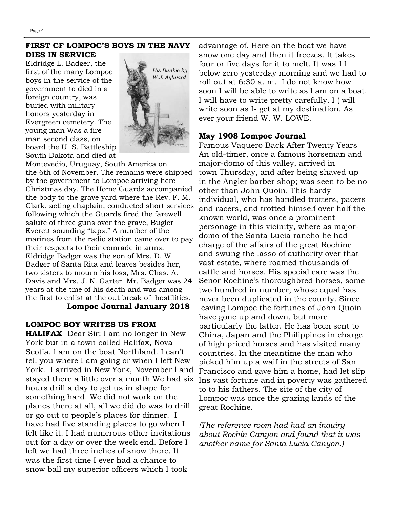#### **FIRST CF LOMPOC'S BOYS IN THE NAVY DIES IN SERVICE**

Eldridge L. Badger, the first of the many Lompoc boys in the service of the government to died in a foreign country, was buried with military honors yesterday in Evergreen cemetery. The young man Was a fire man second class, on board the U. S. Battleship South Dakota and died at



Montevedio, Uruguay, South America on the 6th of November. The remains were shipped by the government to Lompoc arriving here Christmas day. The Home Guards accompanied the body to the grave yard where the Rev. F. M. Clark, acting chaplain, conducted short services following which the Guards fired the farewell salute of three guns over the grave, Bugler Everett sounding "taps." A number of the marines from the radio station came over to pay their respects to their comrade in arms. Eldridge Badger was the son of Mrs. D. W. Badger of Santa Rita and leaves besides her, two sisters to mourn his loss, Mrs. Chas. A. Davis and Mrs. J. N. Garter. Mr. Badger was 24 years at the tme of his death and was among the first to enlist at the out break of hostilities.

## **Lompoc Journal January 2018**

#### **LOMPOC BOY WRITES US FROM**

**HALIFAX** Dear Sir: l am no longer in New York but in a town called Halifax, Nova Scotia. l am on the boat Northland. I can't tell you where I am going or when I left New York. I arrived in New York, November l and stayed there a little over a month We had six hours drill a day to get us in shape for something hard. We did not work on the planes there at all, all we did do was to drill or go out to people's places for dinner. I have had five standing places to go when I felt like it. I had numerous other invitations out for a day or over the week end. Before I left we had three inches of snow there. It was the first time I ever had a chance to snow ball my superior officers which I took

advantage of. Here on the boat we have snow one day and then it freezes. It takes four or five days for it to melt. It was 11 below zero yesterday morning and we had to roll out at 6:30 a. m. I do not know how soon I will be able to write as l am on a boat. I will have to write pretty carefully. I ( will write soon as I- get at my destination. As ever your friend W. W. LOWE.

#### **May 1908 Lompoc Journal**

Famous Vaquero Back After Twenty Years An old-timer, once a famous horseman and major-domo of this valley, arrived in town Thursday, and after being shaved up in the Angler barber shop; was seen to be no other than John Quoin. This hardy individual, who has handled trotters, pacers and racers, and trotted himself over half the known world, was once a prominent personage in this vicinity, where as majordomo of the Santa Lucia rancho he had charge of the affairs of the great Rochine and swung the lasso of authority over that vast estate, where roamed thousands of cattle and horses. His special care was the Senor Rochine's thoroughbred horses, some two hundred in number, whose equal has never been duplicated in the county. Since leaving Lompoc the fortunes of John Quoin have gone up and down, but more particularly the latter. He has been sent to China, Japan and the Philippines in charge of high priced horses and has visited many countries. In the meantime the man who picked him up a waif in the streets of San Francisco and gave him a home, had let slip Ins vast fortune and in poverty was gathered to to his fathers. The site of the city of Lompoc was once the grazing lands of the great Rochine.

*(The reference room had had an inquiry about Rochin Canyon and found that it was another name for Santa Lucia Canyon.)*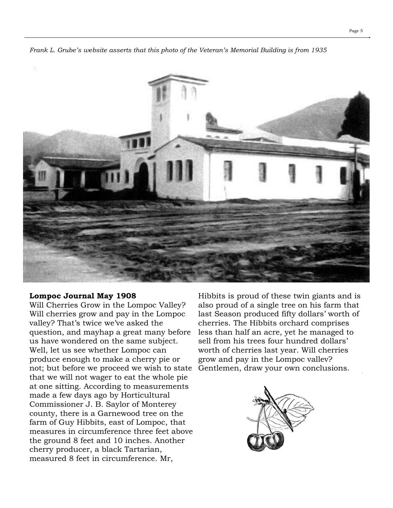

*Frank L. Grube's website asserts that this photo of the Veteran's Memorial Building is from 1935*

#### **Lompoc Journal May 1908**

Will Cherries Grow in the Lompoc Valley? Will cherries grow and pay in the Lompoc valley? That's twice we've asked the question, and mayhap a great many before us have wondered on the same subject. Well, let us see whether Lompoc can produce enough to make a cherry pie or not; but before we proceed we wish to state that we will not wager to eat the whole pie at one sitting. According to measurements made a few days ago by Horticultural Commissioner J. B. Saylor of Monterey county, there is a Garnewood tree on the farm of Guy Hibbits, east of Lompoc, that measures in circumference three feet above the ground 8 feet and 10 inches. Another cherry producer, a black Tartarian, measured 8 feet in circumference. Mr,

Hibbits is proud of these twin giants and is also proud of a single tree on his farm that last Season produced fifty dollars' worth of cherries. The Hibbits orchard comprises less than half an acre, yet he managed to sell from his trees four hundred dollars' worth of cherries last year. Will cherries grow and pay in the Lompoc vallev? Gentlemen, draw your own conclusions.

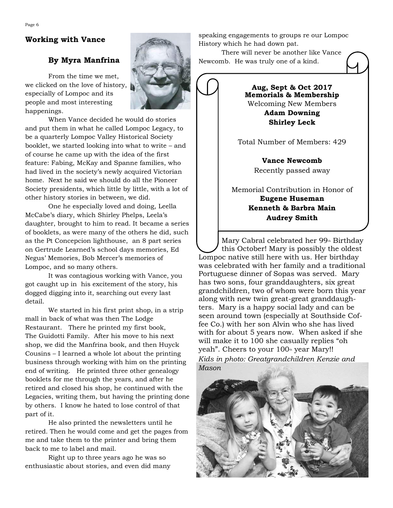#### **Working with Vance**

#### **By Myra Manfrina**

From the time we met, we clicked on the love of history, especially of Lompoc and its people and most interesting happenings.

When Vance decided he would do stories and put them in what he called Lompoc Legacy, to be a quarterly Lompoc Valley Historical Society booklet, we started looking into what to write – and of course he came up with the idea of the first feature: Fabing, McKay and Spanne families, who had lived in the society's newly acquired Victorian home. Next he said we should do all the Pioneer Society presidents, which little by little, with a lot of other history stories in between, we did.

One he especially loved and doing, Leella McCabe's diary, which Shirley Phelps, Leela's daughter, brought to him to read. It became a series of booklets, as were many of the others he did, such as the Pt Concepcion lighthouse, an 8 part series on Gertrude Learned's school days memories, Ed Negus' Memories, Bob Mercer's memories of Lompoc, and so many others.

It was contagious working with Vance, you got caught up in his excitement of the story, his dogged digging into it, searching out every last detail.

We started in his first print shop, in a strip mall in back of what was then The Lodge Restaurant. There he printed my first book, The Guidotti Family. After his move to his next shop, we did the Manfrina book, and then Huyck Cousins – I learned a whole lot about the printing business through working with him on the printing end of writing. He printed three other genealogy booklets for me through the years, and after he retired and closed his shop, he continued with the Legacies, writing them, but having the printing done by others. I know he hated to lose control of that part of it.

He also printed the newsletters until he retired. Then he would come and get the pages from me and take them to the printer and bring them back to me to label and mail.

Right up to three years ago he was so enthusiastic about stories, and even did many speaking engagements to groups re our Lompoc History which he had down pat.

There will never be another like Vance Newcomb. He was truly one of a kind.

> **Aug, Sept & Oct 2017 Memorials & Membership** Welcoming New Members **Adam Downing Shirley Leck**

Total Number of Members: 429

**Vance Newcomb** Recently passed away

Memorial Contribution in Honor of **Eugene Huseman Kenneth & Barbra Main Audrey Smith**

Mary Cabral celebrated her  $99<sub>th</sub>$  Birthday this October! Mary is possibly the oldest Lompoc native still here with us. Her birthday was celebrated with her family and a traditional Portuguese dinner of Sopas was served. Mary has two sons, four granddaughters, six great grandchildren, two of whom were born this year along with new twin great-great granddaughters. Mary is a happy social lady and can be seen around town (especially at Southside Coffee Co.) with her son Alvin who she has lived with for about 5 years now. When asked if she will make it to 100 she casually replies "oh yeah". Cheers to your 100<sup>th</sup> year Mary!! *Kids in photo: Greatgrandchildren Kenzie and Mason*



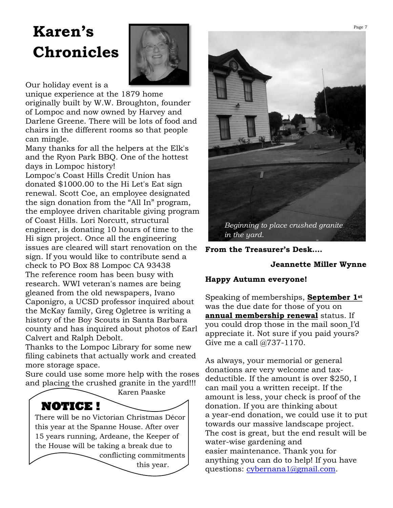# **Karen's Chronicles**



Our holiday event is a

unique experience at the 1879 home originally built by W.W. Broughton, founder of Lompoc and now owned by Harvey and Darlene Greene. There will be lots of food and chairs in the different rooms so that people can mingle.

Many thanks for all the helpers at the Elk's and the Ryon Park BBQ. One of the hottest days in Lompoc history!

Lompoc's Coast Hills Credit Union has donated \$1000.00 to the Hi Let's Eat sign renewal. Scott Coe, an employee designated the sign donation from the "All In" program, the employee driven charitable giving program of Coast Hills. Lori Norcutt, structural engineer, is donating 10 hours of time to the Hi sign project. Once all the engineering issues are cleared will start renovation on the sign. If you would like to contribute send a check to PO Box 88 Lompoc CA 93438 The reference room has been busy with research. WWI veteran's names are being gleaned from the old newspapers, Ivano Caponigro, a UCSD professor inquired about the McKay family, Greg Ogletree is writing a history of the Boy Scouts in Santa Barbara county and has inquired about photos of Earl Calvert and Ralph Debolt.

Thanks to the Lompoc Library for some new filing cabinets that actually work and created more storage space.

Sure could use some more help with the roses and placing the crushed granite in the yard!!!





**From the Treasurer's Desk….**

#### **Jeannette Miller Wynne**

#### **Happy Autumn everyone!**

Speaking of memberships, **September 1st** was the due date for those of you on **annual membership renewal** status. If you could drop those in the mail soon I'd appreciate it. Not sure if you paid yours? Give me a call @737-1170.

As always, your memorial or general donations are very welcome and taxdeductible. If the amount is over \$250, I can mail you a written receipt. If the amount is less, your check is proof of the donation. If you are thinking about a year-end donation, we could use it to put towards our massive landscape project. The cost is great, but the end result will be water-wise gardening and easier maintenance. Thank you for anything you can do to help! If you have questions: [cybernana1@gmail.com.](mailto:cybernana1@gmail.com)